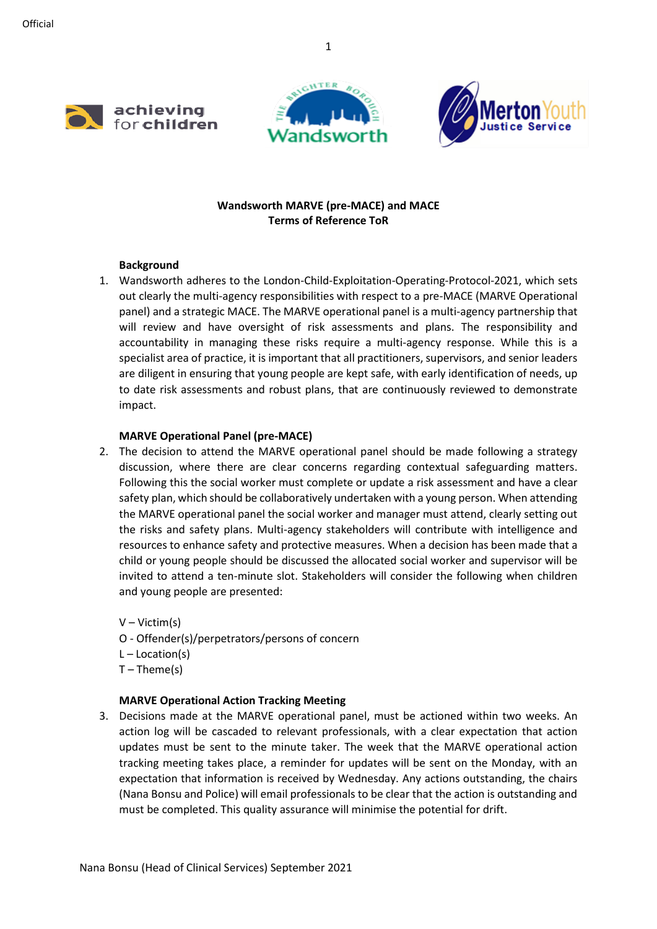





## **Wandsworth MARVE (pre-MACE) and MACE Terms of Reference ToR**

### **Background**

1. Wandsworth adheres to the London-Child-Exploitation-Operating-Protocol-2021, which sets out clearly the multi-agency responsibilities with respect to a pre-MACE (MARVE Operational panel) and a strategic MACE. The MARVE operational panel is a multi-agency partnership that will review and have oversight of risk assessments and plans. The responsibility and accountability in managing these risks require a multi-agency response. While this is a specialist area of practice, it is important that all practitioners, supervisors, and senior leaders are diligent in ensuring that young people are kept safe, with early identification of needs, up to date risk assessments and robust plans, that are continuously reviewed to demonstrate impact.

### **MARVE Operational Panel (pre-MACE)**

- 2. The decision to attend the MARVE operational panel should be made following a strategy discussion, where there are clear concerns regarding contextual safeguarding matters. Following this the social worker must complete or update a risk assessment and have a clear safety plan, which should be collaboratively undertaken with a young person. When attending the MARVE operational panel the social worker and manager must attend, clearly setting out the risks and safety plans. Multi-agency stakeholders will contribute with intelligence and resources to enhance safety and protective measures. When a decision has been made that a child or young people should be discussed the allocated social worker and supervisor will be invited to attend a ten-minute slot. Stakeholders will consider the following when children and young people are presented:
	- V Victim(s) O - Offender(s)/perpetrators/persons of concern  $L -$ Location(s)  $T -$ Theme(s)

## **MARVE Operational Action Tracking Meeting**

3. Decisions made at the MARVE operational panel, must be actioned within two weeks. An action log will be cascaded to relevant professionals, with a clear expectation that action updates must be sent to the minute taker. The week that the MARVE operational action tracking meeting takes place, a reminder for updates will be sent on the Monday, with an expectation that information is received by Wednesday. Any actions outstanding, the chairs (Nana Bonsu and Police) will email professionals to be clear that the action is outstanding and must be completed. This quality assurance will minimise the potential for drift.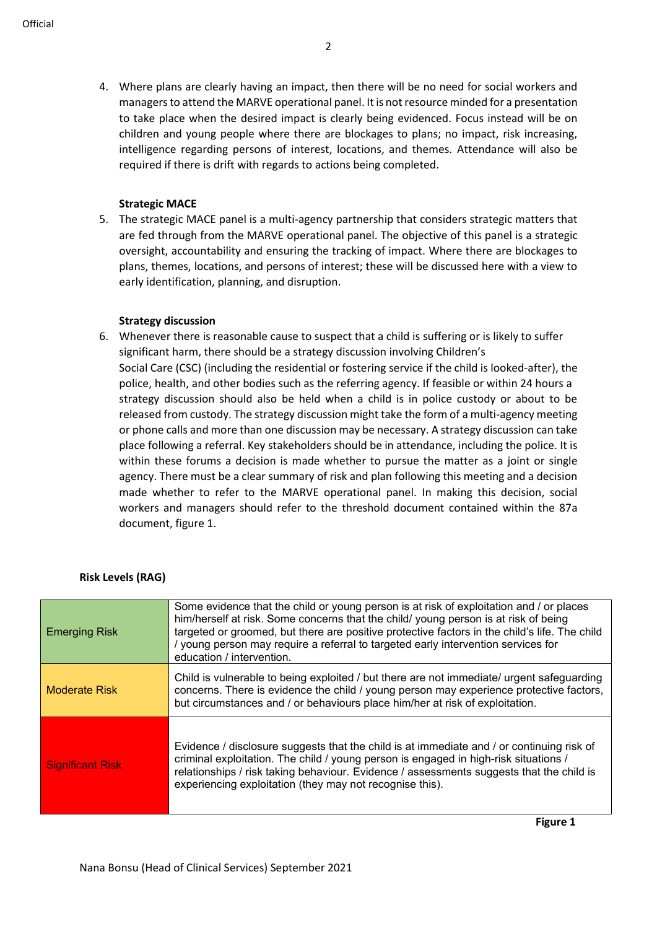4. Where plans are clearly having an impact, then there will be no need for social workers and managers to attend the MARVE operational panel. It is not resource minded for a presentation to take place when the desired impact is clearly being evidenced. Focus instead will be on children and young people where there are blockages to plans; no impact, risk increasing, intelligence regarding persons of interest, locations, and themes. Attendance will also be required if there is drift with regards to actions being completed.

### **Strategic MACE**

5. The strategic MACE panel is a multi-agency partnership that considers strategic matters that are fed through from the MARVE operational panel. The objective of this panel is a strategic oversight, accountability and ensuring the tracking of impact. Where there are blockages to plans, themes, locations, and persons of interest; these will be discussed here with a view to early identification, planning, and disruption.

#### **Strategy discussion**

6. Whenever there is reasonable cause to suspect that a child is suffering or is likely to suffer significant harm, there should be a strategy discussion involving Children's Social Care (CSC) (including the residential or fostering service if the child is looked-after), the police, health, and other bodies such as the referring agency. If feasible or within 24 hours a strategy discussion should also be held when a child is in police custody or about to be released from custody. The strategy discussion might take the form of a multi-agency meeting or phone calls and more than one discussion may be necessary. A strategy discussion can take place following a referral. Key stakeholders should be in attendance, including the police. It is within these forums a decision is made whether to pursue the matter as a joint or single agency. There must be a clear summary of risk and plan following this meeting and a decision made whether to refer to the MARVE operational panel. In making this decision, social workers and managers should refer to the threshold document contained within the 87a document, figure 1.

### **Risk Levels (RAG)**

| <b>Emerging Risk</b>    | Some evidence that the child or young person is at risk of exploitation and / or places<br>him/herself at risk. Some concerns that the child/ young person is at risk of being<br>targeted or groomed, but there are positive protective factors in the child's life. The child<br>/ young person may require a referral to targeted early intervention services for<br>education / intervention. |
|-------------------------|---------------------------------------------------------------------------------------------------------------------------------------------------------------------------------------------------------------------------------------------------------------------------------------------------------------------------------------------------------------------------------------------------|
| <b>Moderate Risk</b>    | Child is vulnerable to being exploited / but there are not immediate/ urgent safeguarding<br>concerns. There is evidence the child / young person may experience protective factors,<br>but circumstances and / or behaviours place him/her at risk of exploitation.                                                                                                                              |
| <b>Significant Risk</b> | Evidence / disclosure suggests that the child is at immediate and / or continuing risk of<br>criminal exploitation. The child / young person is engaged in high-risk situations /<br>relationships / risk taking behaviour. Evidence / assessments suggests that the child is<br>experiencing exploitation (they may not recognise this).                                                         |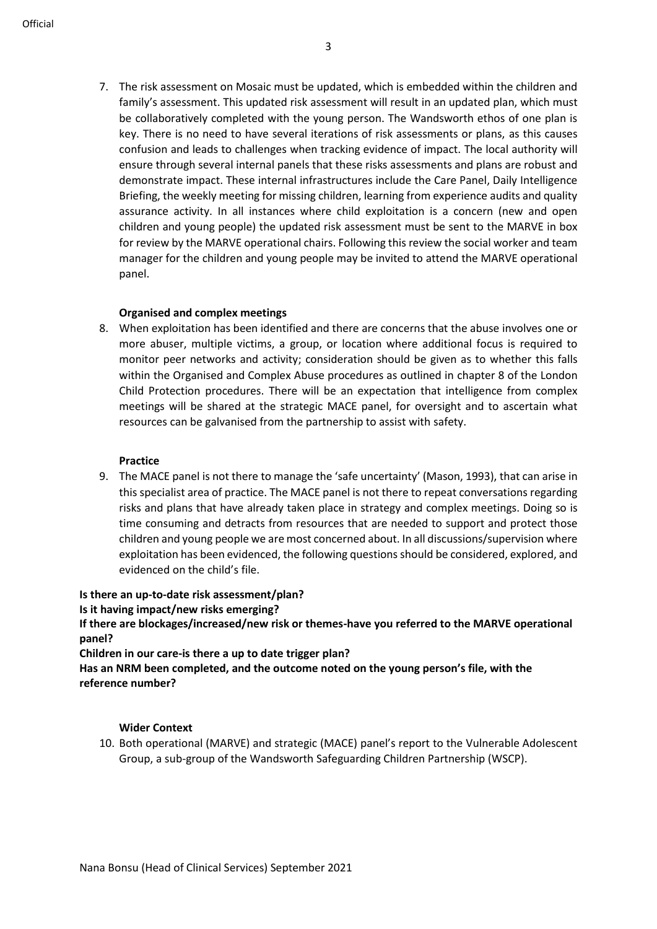7. The risk assessment on Mosaic must be updated, which is embedded within the children and family's assessment. This updated risk assessment will result in an updated plan, which must be collaboratively completed with the young person. The Wandsworth ethos of one plan is key. There is no need to have several iterations of risk assessments or plans, as this causes confusion and leads to challenges when tracking evidence of impact. The local authority will ensure through several internal panels that these risks assessments and plans are robust and demonstrate impact. These internal infrastructures include the Care Panel, Daily Intelligence Briefing, the weekly meeting for missing children, learning from experience audits and quality assurance activity. In all instances where child exploitation is a concern (new and open children and young people) the updated risk assessment must be sent to the MARVE in box for review by the MARVE operational chairs. Following this review the social worker and team manager for the children and young people may be invited to attend the MARVE operational panel.

#### **Organised and complex meetings**

8. When exploitation has been identified and there are concerns that the abuse involves one or more abuser, multiple victims, a group, or location where additional focus is required to monitor peer networks and activity; consideration should be given as to whether this falls within the Organised and Complex Abuse procedures as outlined in chapter 8 of the London Child Protection procedures. There will be an expectation that intelligence from complex meetings will be shared at the strategic MACE panel, for oversight and to ascertain what resources can be galvanised from the partnership to assist with safety.

#### **Practice**

9. The MACE panel is not there to manage the 'safe uncertainty' (Mason, 1993), that can arise in this specialist area of practice. The MACE panel is not there to repeat conversations regarding risks and plans that have already taken place in strategy and complex meetings. Doing so is time consuming and detracts from resources that are needed to support and protect those children and young people we are most concerned about. In all discussions/supervision where exploitation has been evidenced, the following questions should be considered, explored, and evidenced on the child's file.

#### **Is there an up-to-date risk assessment/plan?**

**Is it having impact/new risks emerging?**

**If there are blockages/increased/new risk or themes-have you referred to the MARVE operational panel?**

**Children in our care-is there a up to date trigger plan?**

**Has an NRM been completed, and the outcome noted on the young person's file, with the reference number?**

#### **Wider Context**

10. Both operational (MARVE) and strategic (MACE) panel's report to the Vulnerable Adolescent Group, a sub-group of the Wandsworth Safeguarding Children Partnership (WSCP).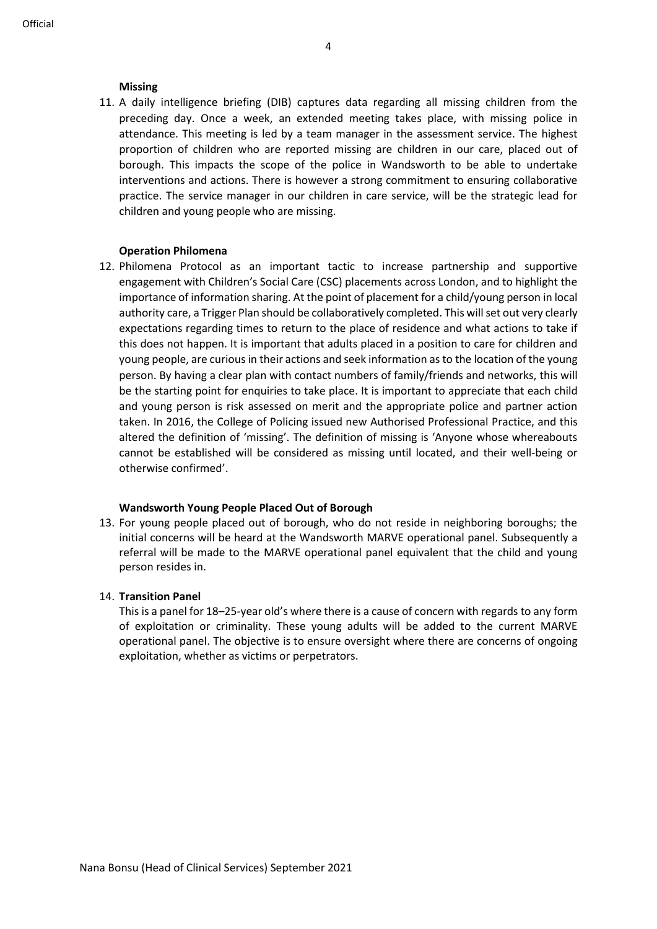### **Missing**

11. A daily intelligence briefing (DIB) captures data regarding all missing children from the preceding day. Once a week, an extended meeting takes place, with missing police in attendance. This meeting is led by a team manager in the assessment service. The highest proportion of children who are reported missing are children in our care, placed out of borough. This impacts the scope of the police in Wandsworth to be able to undertake interventions and actions. There is however a strong commitment to ensuring collaborative practice. The service manager in our children in care service, will be the strategic lead for children and young people who are missing.

### **Operation Philomena**

12. Philomena Protocol as an important tactic to increase partnership and supportive engagement with Children's Social Care (CSC) placements across London, and to highlight the importance of information sharing. At the point of placement for a child/young person in local authority care, a Trigger Plan should be collaboratively completed. This will set out very clearly expectations regarding times to return to the place of residence and what actions to take if this does not happen. It is important that adults placed in a position to care for children and young people, are curious in their actions and seek information as to the location of the young person. By having a clear plan with contact numbers of family/friends and networks, this will be the starting point for enquiries to take place. It is important to appreciate that each child and young person is risk assessed on merit and the appropriate police and partner action taken. In 2016, the College of Policing issued new Authorised Professional Practice, and this altered the definition of 'missing'. The definition of missing is 'Anyone whose whereabouts cannot be established will be considered as missing until located, and their well-being or otherwise confirmed'.

## **Wandsworth Young People Placed Out of Borough**

13. For young people placed out of borough, who do not reside in neighboring boroughs; the initial concerns will be heard at the Wandsworth MARVE operational panel. Subsequently a referral will be made to the MARVE operational panel equivalent that the child and young person resides in.

## 14. **Transition Panel**

This is a panel for 18–25-year old's where there is a cause of concern with regards to any form of exploitation or criminality. These young adults will be added to the current MARVE operational panel. The objective is to ensure oversight where there are concerns of ongoing exploitation, whether as victims or perpetrators.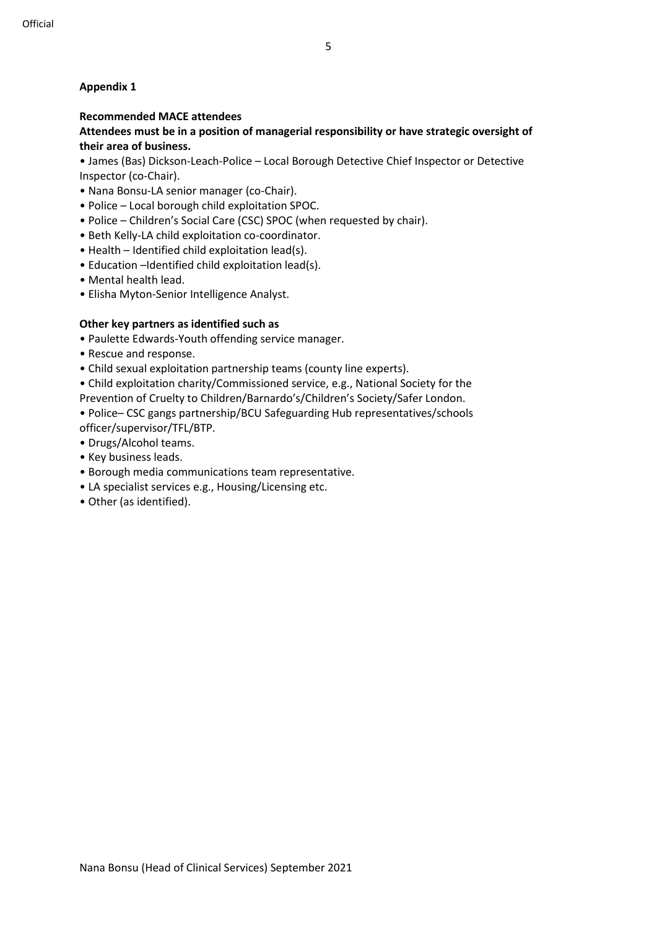# **Appendix 1**

## **Recommended MACE attendees**

### **Attendees must be in a position of managerial responsibility or have strategic oversight of their area of business.**

• James (Bas) Dickson-Leach-Police – Local Borough Detective Chief Inspector or Detective Inspector (co-Chair).

- Nana Bonsu-LA senior manager (co-Chair).
- Police Local borough child exploitation SPOC.
- Police Children's Social Care (CSC) SPOC (when requested by chair).
- Beth Kelly-LA child exploitation co-coordinator.
- Health Identified child exploitation lead(s).
- Education –Identified child exploitation lead(s).
- Mental health lead.
- Elisha Myton-Senior Intelligence Analyst.

## **Other key partners as identified such as**

- Paulette Edwards-Youth offending service manager.
- Rescue and response.
- Child sexual exploitation partnership teams (county line experts).

• Child exploitation charity/Commissioned service, e.g., National Society for the Prevention of Cruelty to Children/Barnardo's/Children's Society/Safer London.

- Police– CSC gangs partnership/BCU Safeguarding Hub representatives/schools officer/supervisor/TFL/BTP.
- Drugs/Alcohol teams.
- Key business leads.
- Borough media communications team representative.
- LA specialist services e.g., Housing/Licensing etc.
- Other (as identified).